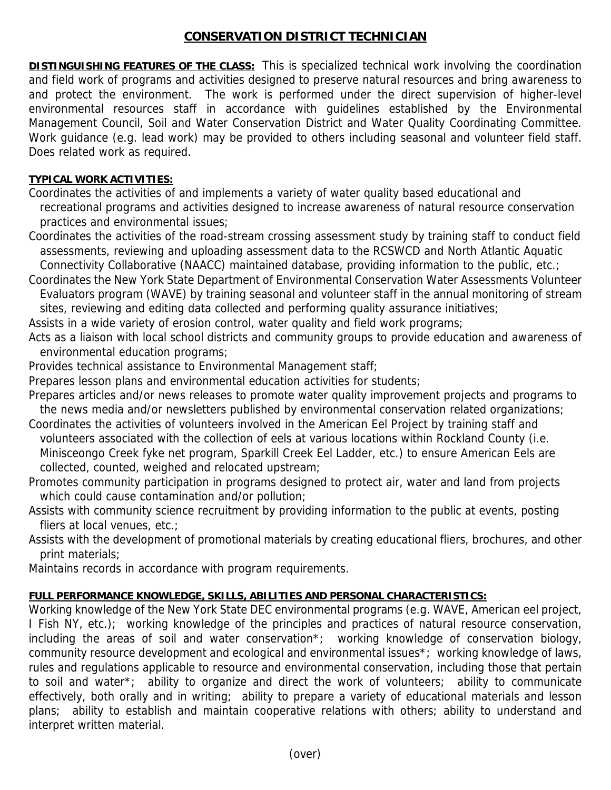## **CONSERVATION DISTRICT TECHNICIAN**

**DISTINGUISHING FEATURES OF THE CLASS:** This is specialized technical work involving the coordination and field work of programs and activities designed to preserve natural resources and bring awareness to and protect the environment. The work is performed under the direct supervision of higher-level environmental resources staff in accordance with guidelines established by the Environmental Management Council, Soil and Water Conservation District and Water Quality Coordinating Committee. Work guidance (e.g. lead work) may be provided to others including seasonal and volunteer field staff. Does related work as required.

## **TYPICAL WORK ACTIVITIES:**

- Coordinates the activities of and implements a variety of water quality based educational and recreational programs and activities designed to increase awareness of natural resource conservation practices and environmental issues;
- Coordinates the activities of the road-stream crossing assessment study by training staff to conduct field assessments, reviewing and uploading assessment data to the RCSWCD and North Atlantic Aquatic Connectivity Collaborative (NAACC) maintained database, providing information to the public, etc.;
- Coordinates the New York State Department of Environmental Conservation Water Assessments Volunteer Evaluators program (WAVE) by training seasonal and volunteer staff in the annual monitoring of stream sites, reviewing and editing data collected and performing quality assurance initiatives;
- Assists in a wide variety of erosion control, water quality and field work programs;
- Acts as a liaison with local school districts and community groups to provide education and awareness of environmental education programs;
- Provides technical assistance to Environmental Management staff;
- Prepares lesson plans and environmental education activities for students;
- Prepares articles and/or news releases to promote water quality improvement projects and programs to the news media and/or newsletters published by environmental conservation related organizations;
- Coordinates the activities of volunteers involved in the American Eel Project by training staff and volunteers associated with the collection of eels at various locations within Rockland County (i.e. Minisceongo Creek fyke net program, Sparkill Creek Eel Ladder, etc.) to ensure American Eels are collected, counted, weighed and relocated upstream;
- Promotes community participation in programs designed to protect air, water and land from projects which could cause contamination and/or pollution;
- Assists with community science recruitment by providing information to the public at events, posting fliers at local venues, etc.;
- Assists with the development of promotional materials by creating educational fliers, brochures, and other print materials;
- Maintains records in accordance with program requirements.

## **FULL PERFORMANCE KNOWLEDGE, SKILLS, ABILITIES AND PERSONAL CHARACTERISTICS:**

Working knowledge of the New York State DEC environmental programs (e.g. WAVE, American eel project, I Fish NY, etc.); working knowledge of the principles and practices of natural resource conservation, including the areas of soil and water conservation\*; working knowledge of conservation biology, community resource development and ecological and environmental issues\*; working knowledge of laws, rules and regulations applicable to resource and environmental conservation, including those that pertain to soil and water\*; ability to organize and direct the work of volunteers; ability to communicate effectively, both orally and in writing; ability to prepare a variety of educational materials and lesson plans; ability to establish and maintain cooperative relations with others; ability to understand and interpret written material.